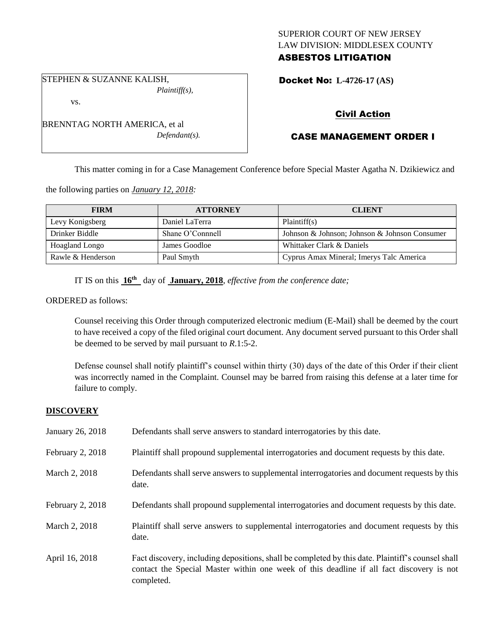### SUPERIOR COURT OF NEW JERSEY LAW DIVISION: MIDDLESEX COUNTY ASBESTOS LITIGATION

STEPHEN & SUZANNE KALISH, *Plaintiff(s),*

vs.

Docket No: **L-4726-17 (AS)** 

## Civil Action

# CASE MANAGEMENT ORDER I

This matter coming in for a Case Management Conference before Special Master Agatha N. Dzikiewicz and

the following parties on *January 12, 2018:*

| <b>FIRM</b>       | <b>ATTORNEY</b>  | <b>CLIENT</b>                                 |
|-------------------|------------------|-----------------------------------------------|
| Levy Konigsberg   | Daniel LaTerra   | Plaintiff(s)                                  |
| Drinker Biddle    | Shane O'Connnell | Johnson & Johnson; Johnson & Johnson Consumer |
| Hoagland Longo    | James Goodloe    | Whittaker Clark & Daniels                     |
| Rawle & Henderson | Paul Smyth       | Cyprus Amax Mineral; Imerys Talc America      |

IT IS on this **16th** day of **January, 2018**, *effective from the conference date;*

ORDERED as follows:

Counsel receiving this Order through computerized electronic medium (E-Mail) shall be deemed by the court to have received a copy of the filed original court document. Any document served pursuant to this Order shall be deemed to be served by mail pursuant to *R*.1:5-2.

Defense counsel shall notify plaintiff's counsel within thirty (30) days of the date of this Order if their client was incorrectly named in the Complaint. Counsel may be barred from raising this defense at a later time for failure to comply.

### **DISCOVERY**

| January 26, 2018 | Defendants shall serve answers to standard interrogatories by this date.                                                                                                                                    |
|------------------|-------------------------------------------------------------------------------------------------------------------------------------------------------------------------------------------------------------|
| February 2, 2018 | Plaintiff shall propound supplemental interrogatories and document requests by this date.                                                                                                                   |
| March 2, 2018    | Defendants shall serve answers to supplemental interrogatories and document requests by this<br>date.                                                                                                       |
| February 2, 2018 | Defendants shall propound supplemental interrogatories and document requests by this date.                                                                                                                  |
| March 2, 2018    | Plaintiff shall serve answers to supplemental interrogatories and document requests by this<br>date.                                                                                                        |
| April 16, 2018   | Fact discovery, including depositions, shall be completed by this date. Plaintiff's counsel shall<br>contact the Special Master within one week of this deadline if all fact discovery is not<br>completed. |

BRENNTAG NORTH AMERICA, et al *Defendant(s).*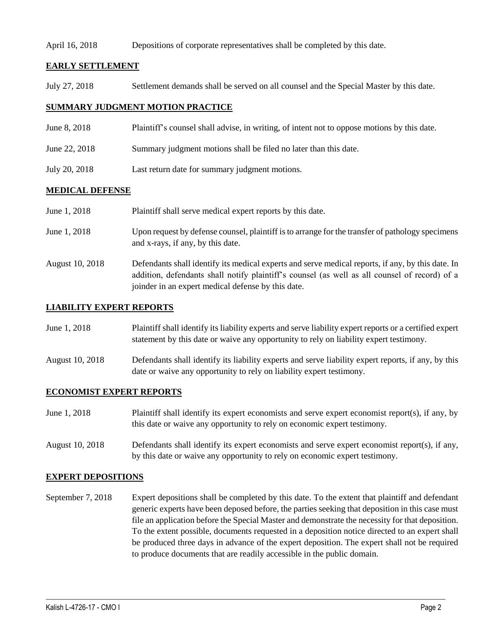#### April 16, 2018 Depositions of corporate representatives shall be completed by this date.

### **EARLY SETTLEMENT**

July 27, 2018 Settlement demands shall be served on all counsel and the Special Master by this date.

### **SUMMARY JUDGMENT MOTION PRACTICE**

- June 8, 2018 Plaintiff's counsel shall advise, in writing, of intent not to oppose motions by this date.
- June 22, 2018 Summary judgment motions shall be filed no later than this date.
- July 20, 2018 Last return date for summary judgment motions.

#### **MEDICAL DEFENSE**

| June 1, 2018    | Plaintiff shall serve medical expert reports by this date.                                                                                                                                                                                               |
|-----------------|----------------------------------------------------------------------------------------------------------------------------------------------------------------------------------------------------------------------------------------------------------|
| June 1, 2018    | Upon request by defense counsel, plaintiff is to arrange for the transfer of pathology specimens<br>and x-rays, if any, by this date.                                                                                                                    |
| August 10, 2018 | Defendants shall identify its medical experts and serve medical reports, if any, by this date. In<br>addition, defendants shall notify plaintiff's counsel (as well as all counsel of record) of a<br>joinder in an expert medical defense by this date. |

#### **LIABILITY EXPERT REPORTS**

| June 1, 2018 | Plaintiff shall identify its liability experts and serve liability expert reports or a certified expert |
|--------------|---------------------------------------------------------------------------------------------------------|
|              | statement by this date or waive any opportunity to rely on liability expert testimony.                  |

August 10, 2018 Defendants shall identify its liability experts and serve liability expert reports, if any, by this date or waive any opportunity to rely on liability expert testimony.

#### **ECONOMIST EXPERT REPORTS**

| June 1, 2018 | Plaintiff shall identify its expert economists and serve expert economist report(s), if any, by |
|--------------|-------------------------------------------------------------------------------------------------|
|              | this date or waive any opportunity to rely on economic expert testimony.                        |

August 10, 2018 Defendants shall identify its expert economists and serve expert economist report(s), if any, by this date or waive any opportunity to rely on economic expert testimony.

#### **EXPERT DEPOSITIONS**

September 7, 2018 Expert depositions shall be completed by this date. To the extent that plaintiff and defendant generic experts have been deposed before, the parties seeking that deposition in this case must file an application before the Special Master and demonstrate the necessity for that deposition. To the extent possible, documents requested in a deposition notice directed to an expert shall be produced three days in advance of the expert deposition. The expert shall not be required to produce documents that are readily accessible in the public domain.

 $\_$  ,  $\_$  ,  $\_$  ,  $\_$  ,  $\_$  ,  $\_$  ,  $\_$  ,  $\_$  ,  $\_$  ,  $\_$  ,  $\_$  ,  $\_$  ,  $\_$  ,  $\_$  ,  $\_$  ,  $\_$  ,  $\_$  ,  $\_$  ,  $\_$  ,  $\_$  ,  $\_$  ,  $\_$  ,  $\_$  ,  $\_$  ,  $\_$  ,  $\_$  ,  $\_$  ,  $\_$  ,  $\_$  ,  $\_$  ,  $\_$  ,  $\_$  ,  $\_$  ,  $\_$  ,  $\_$  ,  $\_$  ,  $\_$  ,